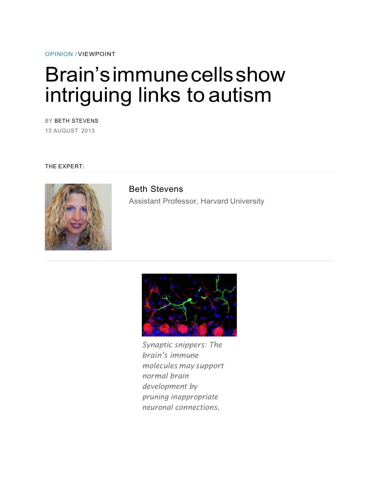OPINION / VIEWPOINT

## Brain's immune cells show intriguing links to autism

BY BETH STEVENS 13 AUGUST 2013

THE EXPERT:



Beth Stevens Assistant Professor, Harvard University



*Synaptic snippers: The brain's immune molecules may support normal brain development by pruning inappropriate neuronal connections.*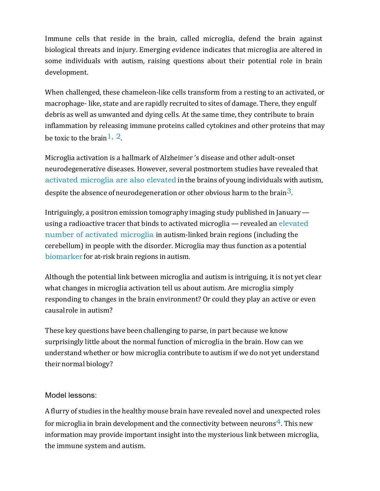Immune cells that reside in the brain, called microglia, defend the brain against biological threats and injury. Emerging evidence indicates that microglia are altered in some individuals with autism, raising questions about their potential role in brain development. 

When challenged, these chameleon-like cells transform from a resting to an activated, or macrophage-like, state and are rapidly recruited to sites of damage. There, they engulf debris as well as unwanted and dying cells. At the same time, they contribute to brain inflammation by releasing immune proteins called cytokines and other proteins that may be toxic to the brain  $1, 2$ .

Microglia activation is a hallmark of Alzheimer's disease and other adult-onset neurodegenerative diseases. However, several postmortem studies have revealed that activated microglia are also elevated in the brains of young individuals with autism, despite the absence of neurodegeneration or other obvious harm to the brain<sup>3</sup>.

Intriguingly, a positron emission tomography imaging study published in January using a radioactive tracer that binds to activated microglia  $-$  revealed an elevated number of activated microglia in autism-linked brain regions (including the cerebellum) in people with the disorder. Microglia may thus function as a potential biomarker for at-risk brain regions in autism.

Although the potential link between microglia and autism is intriguing, it is not yet clear what changes in microglia activation tell us about autism. Are microglia simply responding to changes in the brain environment? Or could they play an active or even causal role in autism?

These key questions have been challenging to parse, in part because we know surprisingly little about the normal function of microglia in the brain. How can we understand whether or how microglia contribute to autism if we do not yet understand their normal biology?

## Model lessons:

A flurry of studies in the healthy mouse brain have revealed novel and unexpected roles for microglia in brain development and the connectivity between neurons<sup>4</sup>. This new information may provide important insight into the mysterious link between microglia, the immune system and autism.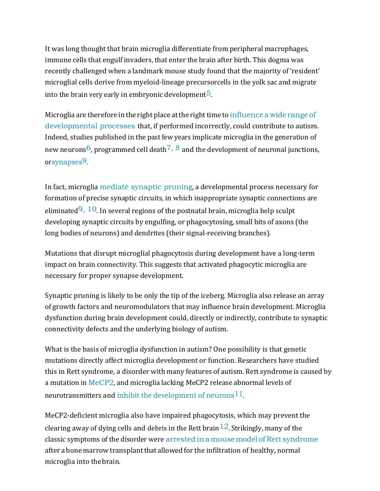It was long thought that brain microglia differentiate from peripheral macrophages, immune cells that engulf invaders, that enter the brain after birth. This dogma was recently challenged when a landmark mouse study found that the majority of 'resident' microglial cells derive from myeloid-lineage precursorcells in the yolk sac and migrate into the brain very early in embryonic development<sup>5</sup>.

Microglia are therefore in the right place at the right time to influence a wide range of developmental processes that, if performed incorrectly, could contribute to autism. Indeed, studies published in the past few years implicate microglia in the generation of new neurons<sup>6</sup>, programmed cell death<sup>7, 8</sup> and the development of neuronal junctions, orsynapses9.

In fact, microglia mediate synaptic pruning, a developmental process necessary for formation of precise synaptic circuits, in which inappropriate synaptic connections are eliminated<sup>9, 10</sup>. In several regions of the postnatal brain, microglia help sculpt developing synaptic circuits by engulfing, or phagocytosing, small bits of axons (the long bodies of neurons) and dendrites (their signal-receiving branches).

Mutations that disrupt microglial phagocytosis during development have a long-term impact on brain connectivity. This suggests that activated phagocytic microglia are necessary for proper synapse development.

Synaptic pruning is likely to be only the tip of the iceberg. Microglia also release an array of growth factors and neuromodulators that may influence brain development. Microglia dysfunction during brain development could, directly or indirectly, contribute to synaptic connectivity defects and the underlying biology of autism.

What is the basis of microglia dysfunction in autism? One possibility is that genetic mutations directly affect microglia development or function. Researchers have studied this in Rett syndrome, a disorder with many features of autism. Rett syndrome is caused by a mutation in  $\text{MeCP2}$ , and microglia lacking MeCP2 release abnormal levels of neurotransmitters and inhibit the development of neurons  $11$ .

MeCP2-deficient microglia also have impaired phagocytosis, which may prevent the clearing away of dying cells and debris in the Rett brain  $12$ . Strikingly, many of the classic symptoms of the disorder were arrested in a mouse model of Rett syndrome after a bone marrow transplant that allowed for the infiltration of healthy, normal microglia into the brain.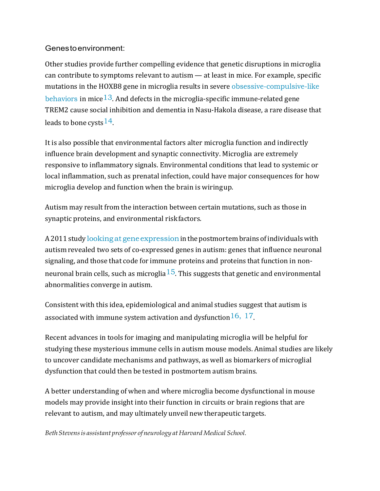## Genes to environment:

Other studies provide further compelling evidence that genetic disruptions in microglia can contribute to symptoms relevant to autism  $-$  at least in mice. For example, specific mutations in the HOXB8 gene in microglia results in severe obsessive-compulsive-like behaviors in mice<sup>13</sup>. And defects in the microglia-specific immune-related gene TREM2 cause social inhibition and dementia in Nasu-Hakola disease, a rare disease that leads to bone cysts  $14$ .

It is also possible that environmental factors alter microglia function and indirectly influence brain development and synaptic connectivity. Microglia are extremely responsive to inflammatory signals. Environmental conditions that lead to systemic or local inflammation, such as prenatal infection, could have major consequences for how microglia develop and function when the brain is wiringup.

Autism may result from the interaction between certain mutations, such as those in synaptic proteins, and environmental riskfactors.

A 2011 study looking at gene expression in the postmortem brains of individuals with autism revealed two sets of co-expressed genes in autism: genes that influence neuronal signaling, and those that code for immune proteins and proteins that function in nonneuronal brain cells, such as microglia<sup>15</sup>. This suggests that genetic and environmental abnormalities converge in autism.

Consistent with this idea, epidemiological and animal studies suggest that autism is associated with immune system activation and dysfunction  $16, 17$ .

Recent advances in tools for imaging and manipulating microglia will be helpful for studying these mysterious immune cells in autism mouse models. Animal studies are likely to uncover candidate mechanisms and pathways, as well as biomarkers of microglial dysfunction that could then be tested in postmortem autism brains.

A better understanding of when and where microglia become dysfunctional in mouse models may provide insight into their function in circuits or brain regions that are relevant to autism, and may ultimately unveil new therapeutic targets.

*Beth Stevens is assistant professor of neurology at Harvard Medical School.*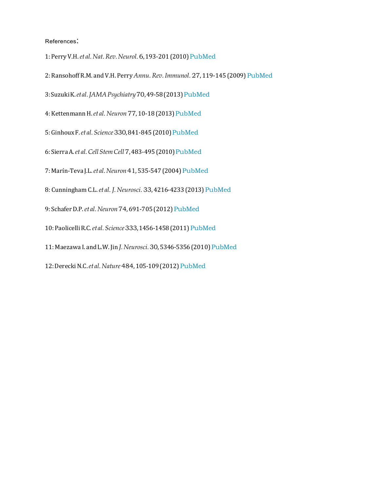References:

1: Perry V.H. et al. Nat. Rev. Neurol. 6, 193-201 (2010) PubMed

- 2: Ransohoff R.M. and V.H. Perry Annu. Rev. Immunol. 27, 119-145 (2009) PubMed
- 3: Suzuki K. *et al. JAMA Psychiatry* 70, 49-58 (2013) PubMed
- 4: Kettenmann H. *et al. Neuron 77*, 10-18 (2013) PubMed
- 5: Ginhoux F. et al. Science 330, 841-845 (2010) PubMed
- 6: Sierra A. *et al. Cell Stem Cell 7, 483-495* (2010) PubMed
- 7: Marín-Teva J.L. *et al. Neuron* 41, 535-547 (2004) PubMed
- 8: Cunningham C.L. et al. J. Neurosci. 33, 4216-4233 (2013) PubMed
- 9: Schafer D.P. *et al. Neuron* 74, 691-705 (2012) PubMed
- 10: Paolicelli R.C. et al. Science 333, 1456-1458 (2011) PubMed
- 11: Maezawa I. and L.W. Jin J. Neurosci. 30, 5346-5356 (2010) PubMed
- 12: Derecki N.C. *et al. Nature* 484, 105-109 (2012) PubMed